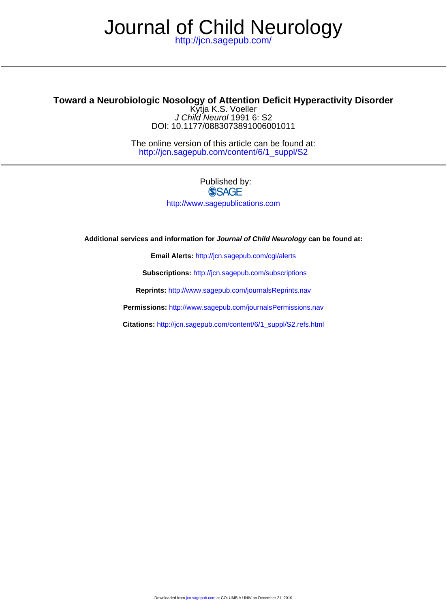# Journal of Child Neurology

<http://jcn.sagepub.com/>

## **Toward a Neurobiologic Nosology of Attention Deficit Hyperactivity Disorder**

DOI: 10.1177/0883073891006001011 J Child Neurol 1991 6: S2 Kytja K.S. Voeller

[http://jcn.sagepub.com/content/6/1\\_suppl/S2](http://jcn.sagepub.com/content/6/1_suppl/S2) The online version of this article can be found at:

### Published by: **SSAGE** <http://www.sagepublications.com>

**Additional services and information for Journal of Child Neurology can be found at:**

**Email Alerts:** <http://jcn.sagepub.com/cgi/alerts>

**Subscriptions:** <http://jcn.sagepub.com/subscriptions>

**Reprints:** <http://www.sagepub.com/journalsReprints.nav>

**Permissions:** <http://www.sagepub.com/journalsPermissions.nav>

**Citations:** [http://jcn.sagepub.com/content/6/1\\_suppl/S2.refs.html](http://jcn.sagepub.com/content/6/1_suppl/S2.refs.html)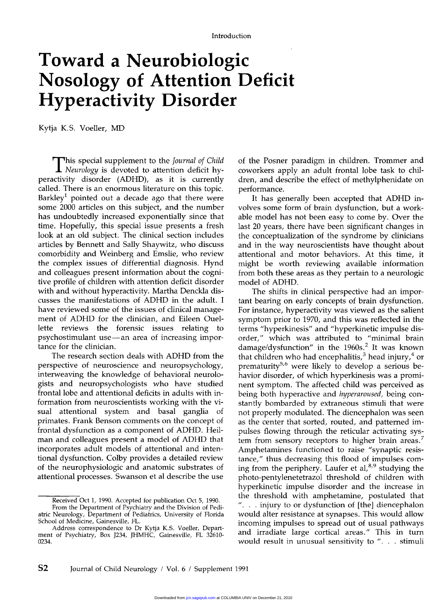# Toward a Neurobiologic Nosology of Attention Deficit Hyperactivity Disorder

Kytja K.S. Voeller, MD

**This special supplement to the** *Journal of Child* Neurology is devoted to attention deficit hyperactivity disorder (ADHD), as it is currently called. There is an enormous literature on this topic. Barkley<sup>1</sup> pointed out a decade ago that there were some 2000 articles on this subject, and the number has undoubtedly increased exponentially since that time. Hopefully, this special issue presents a fresh look at an old subject. The clinical section includes articles by Bennett and Sally Shaywitz, who discuss comorbidity and Weinberg and Emslie, who review the complex issues of differential diagnosis. Hynd and colleagues present information about the cognitive profile of children with attention deficit disorder with and without hyperactivity. Martha Denckla discusses the manifestations of ADHD in the adult. I have reviewed some of the issues of clinical management of ADHD for the clinician, and Eileen Ouellette reviews the forensic issues relating to psychostimulant use-an area of increasing importance for the clinician.

The research section deals with ADHD from the perspective of neuroscience and neuropsychology, interweaving the knowledge of behavioral neurologists and neuropsychologists who have studied frontal lobe and attentional deficits in adults with information from neuroscientists working with the visual attentional system and basal ganglia of primates. Frank Benson comments on the concept of frontal dysfunction as a component of ADHD. Heilman and colleagues present a model of ADHD that incorporates adult models of attentional and intentional dysfunction. Colby provides a detailed review of the neurophysiologic and anatomic substrates of attentional processes. Swanson et al describe the use of the Posner paradigm in children. Trommer and coworkers apply an adult frontal lobe task to children, and describe the effect of methylphenidate on performance.

It has generally been accepted that ADHD involves some form of brain dysfunction, but a workable model has not been easy to come by. Over the last 20 years, there have been significant changes in the conceptualization of the syndrome by clinicians and in the way neuroscientists have thought about attentional and motor behaviors. At this time, it might be worth reviewing available information from both these areas as they pertain to a neurologic model of ADHD.

The shifts in clinical perspective had an important bearing on early concepts of brain dysfunction. For instance, hyperactivity was viewed as the salient symptom prior to 1970, and this was reflected in the terms "hyperkinesis" and "hyperkinetic impulse disorder," which was attributed to "minimal brain damage/dysfunction" in the 1960s.<sup>2</sup> It was known that children who had encephalitis,<sup>3</sup> head injury,<sup>4</sup> or prematurity<sup>5,6</sup> were likely to develop a serious behavior disorder, of which hyperkinesis was a prominent symptom. The affected child was perceived as being both hyperactive and hyperaroused, being constantly bombarded by extraneous stimuli that were not properly modulated. The diencephalon was seen as the center that sorted, routed, and patterned impulses flowing through the reticular activating system from sensory receptors to higher brain areas.<sup>7</sup> Amphetamines functioned to raise "synaptic resistance," thus decreasing this flood of impulses coming from the periphery. Laufer et al, $8.9$  studying the photo-pentylenetetrazol threshold of children with hyperkinetic impulse disorder and the increase in the threshold with amphetamine, postulated that  $\ldots$  injury to or dysfunction of [the] diencephalon would alter resistance at synapses. This would allow incoming impulses to spread out of usual pathways and irradiate large cortical areas." This in turn would result in unusual sensitivity to  $\alpha$ ... stimuli

Received Oct 1, 1990. Accepted for publication Oct 5, 1990.

From the Department of Psychiatry and the Division of Pediatric Neurology, Department of Pediatrics, University of Florida School of Medicine, Gainesville, FL.<br>Address correspondence to Dr Kytja K.S. Voeller, Depart-

ment of Psychiatry, Box J234, JHMHC, Gainesville, FL 32610-0234.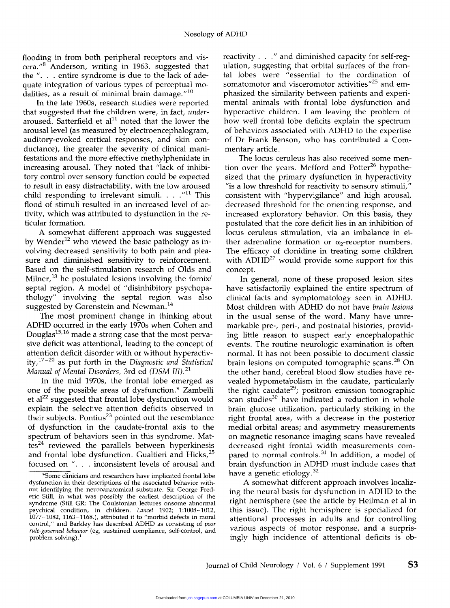flooding in from both peripheral receptors and vis $cera."<sup>8</sup>$  Anderson, writing in 1963, suggested that the  $\%$ ... entire syndrome is due to the lack of adequate integration of various types of perceptual modalities, as a result of minimal brain damage. $^{\prime\prime\,10}$ 

In the late 1960s, research studies were reported that suggested that the children were, in fact, underaroused. Satterfield et al<sup>11</sup> noted that the lower the arousal level (as measured by electroencephalogram, auditory-evoked cortical responses, and skin conductance), the greater the severity of clinical manifestations and the more effective methylphenidate in increasing arousal. They noted that "lack of inhibitory control over sensory function could be expected to result in easy distractability, with the low aroused child responding to irrelevant simuli.... $^{\prime\prime}$ <sup>11</sup> This flood of stimuli resulted in an increased level of activity, which was attributed to dysfunction in the reticular formation.

A somewhat different approach was suggested by Wender<sup>12</sup> who viewed the basic pathology as involving decreased sensitivity to both pain and plea sure and diminished sensitivity to reinforcement. Based on the self-stimulation research of Olds and Milner,  $^{13}$  he postulated lesions involving the fornix/ septal region. A model of "disinhibitory psychopathology" involving the septal region was also suggested by Gorenstein and Newman.<sup>14</sup>

The most prominent change in thinking about ADHD occurred in the early 1970s when Cohen and Douglas<sup>15,16</sup> made a strong case that the most pervasive deficit was attentional, leading to the concept of attention deficit disorder with or without hyperactiv ity, $17-20$  as put forth in the Diagnostic and Statistical Manual of Mental Disorders, 3rd ed (DSM III).<sup>21</sup>

In the mid 1970s, the frontal lobe emerged as one of the possible areas of dysfunction.\* Zambelli et al<sup>22</sup> suggested that frontal lobe dysfunction would explain the selective attention deficits observed in their subjects. Pontius<sup>23</sup> pointed out the resemblance of dysfunction in the caudate-frontal axis to the spectrum of behaviors seen in this syndrome. Mat $tes<sup>24</sup>$  reviewed the parallels between hyperkinesis and frontal lobe dysfunction. Gualtieri and Hicks,<sup>25</sup> focused on ". . . inconsistent levels of arousal and reactivity . . ." and diminished capacity for self-regulation, suggesting that orbital surfaces of the frontal lobes were "essential to the cordination of somatomotor and visceromotor activities<sup>"25</sup> and emphasized the similarity between patients and experimental animals with frontal lobe dysfunction and hyperactive children. I am leaving the problem of how well frontal lobe deficits explain the spectrum of behaviors associated with ADHD to the expertise of Dr Frank Benson, who has contributed a Commentary article.

The locus ceruleus has also received some mention over the years. Mefford and Potter<sup>26</sup> hypothesized that the primary dysfunction in hyperactivity "is a low threshold for reactivity to sensory stimuli," consistent with "hypervigilance" and high arousal, decreased threshold for the orienting response, and increased exploratory behavior. On this basis, they postulated that the core deficit lies in an inhibition of locus ceruleus stimulation, via an imbalance in either adrenaline formation or  $\alpha_2$ -receptor numbers. The efficacy of clonidine in treating some children with  $ADHD^{27}$  would provide some support for this concept.

In general, none of these proposed lesion sites have satisfactorily explained the entire spectrum of clinical facts and symptomatology seen in ADHD. Most children with ADHD do not have brain lesions in the usual sense of the word. Many have unremarkable pre-, peri-, and postnatal histories, providing little reason to suspect early encephalopathic events. The routine neurologic examination is often normal. It has not been possible to document classic brain lesions on computed tomographic scans.<sup>28</sup> On the other hand, cerebral blood flow studies have revealed hypometabolism in the caudate, particularly the right caudate<sup>29</sup>; positron emission tomographic scan studies<sup>30</sup> have indicated a reduction in whole brain glucose utilization, particularly striking in the right frontal area, with a decrease in the posterior medial orbital areas; and asymmetry measurements on magnetic resonance imaging scans have revealed decreased right frontal width measurements compared to normal controls.<sup>31</sup> In addition, a model of brain dysfunction in ADHD must include cases that have a genetic etiology.<sup>32</sup>

A somewhat different approach involves localizing the neural basis for dysfunction in ADHD to the right hemisphere (see the article by Heilman et al in this issue). The right hemisphere is specialized for attentional processes in adults and for controlling various aspects of motor response, and a surprisingly high incidence of attentional deficits is ob-

<sup>\*</sup>Some clinicians and researchers have implicated frontal lobe dysfunction in their descriptions of the associated behavior without identifying the neuroanatomical substrate. Sir George Frederic Still, in what was possibly the earliest description of the syndrome (Still GR: The Coulstonian lectures onsome abnormal psychical condition, in children. Lancet 1902; 1:1008-1012,  $1077-1082$ ,  $1163-1168$ .), attributed it to "morbid defects in moral control," and Barkley has described ADHD as consisting of poor rule-governed behavior (eg, sustained compliance, self-control, and problem solving). $<sup>1</sup>$ </sup>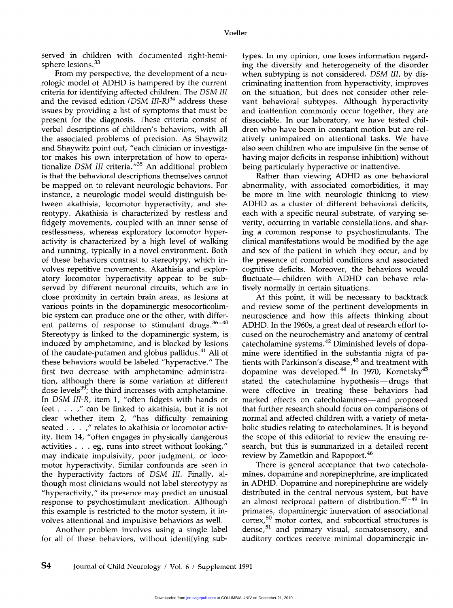served in children with documented right-hemisphere lesions.<sup>33</sup>

From my perspective, the development of a neurologic model of ADHD is hampered by the current criteria for identifying affected children. The DSM III and the revised edition  $(DSM III-R)^{34}$  address these issues by providing a list of symptoms that must be present for the diagnosis. These criteria consist of verbal descriptions of children's behaviors, with all the associated problems of precision. As Shaywitz and Shaywitz point out, "each clinician or investigator makes his own interpretation of how to operationalize DSM III criteria.<sup>1735</sup> An additional problem is that the behavioral descriptions themselves cannot be mapped on to relevant neurologic behaviors. For instance, a neurologic model would distinguish between akathisia, locomotor hyperactivity, and stereotypy. Akathisia is characterized by restless and fidgety movements, coupled with an inner sense of restlessness, whereas exploratory locomotor hyperactivity is characterized by a high level of walking and running, typically in a novel environment. Both of these behaviors contrast to stereotypy, which involves repetitive movements. Akathisia and exploratory locomotor hyperactivity appear to be subserved by different neuronal circuits, which are in close proximity in certain brain areas, as lesions at various points in the dopaminergic mesocorticolimbic system can produce one or the other, with different patterns of response to stimulant drugs. $36-40$ Stereotypy is linked to the dopaminergic system, is induced by amphetamine, and is blocked by lesions of the caudate-putamen and globus pallidus.<sup>41</sup> All of these behaviors would be labeled "hyperactive." The first two decrease with amphetamine administration, although there is some variation at different dose levels<sup>39</sup>; the third increases with amphetamine. In DSM III-R, item 1, "often fidgets with hands or feet  $\dots$ ," can be linked to akathisia, but it is not clear whether item 2, "has difficulty remaining seated . . . ," relates to akathisia or locomotor activity. Item 14, "often engages in physically dangerous activities  $\ldots$  eg, runs into street without looking," may indicate impulsivity, poor judgment, or locomotor hyperactivity. Similar confounds are seen in the hyperactivity factors of DSM III. Finally, although most clinicians would not label stereotypy as "hyperactivity," its presence may predict an unusual response to psychostimulant medication. Although this example is restricted to the motor system, it involves attentional and impulsive behaviors as well.

Another problem involves using a single label for all of these behaviors, without identifying subtypes. In my opinion, one loses information regarding the diversity and heterogeneity of the disorder when subtyping is not considered. DSM IIl, by discriminating inattention from hyperactivity, improves on the situation, but does not consider other relevant behavioral subtypes. Although hyperactivity and inattention commonly occur together, they are dissociable. In our laboratory, we have tested children who have been in constant motion but are relatively unimpaired on attentional tasks. We have also seen children who are impulsive (in the sense of having major deficits in response inhibition) without being particularly hyperactive or inattentive.

Rather than viewing ADHD as one behavioral abnormality, with associated comorbidities, it may be more in line with neurologic thinking to view ADHD as a cluster of different behavioral deficits, each with a specific neural substrate, of varying severity, occurring in variable constellations, and sharing a common response to psychostimulants. The clinical manifestations would be modified by the age and sex of the patient in which they occur, and by the presence of comorbid conditions and associated cognitive deficits. Moreover, the behaviors would fluctuate-children with ADHD can behave relatively normally in certain situations.

At this point, it will be necessary to backtrack and review some of the pertinent developments in neuroscience and how this affects thinking about ADHD. In the 1960s, a great deal of research effort focused on the neurochemistry and anatomy of central catecholamine systems.42 Diminished levels of dopamine were identified in the substantia nigra of patients with Parkinson's disease,<sup>43</sup> and treatment with dopamine was developed.<sup>44</sup> In 1970, Kornetsky<sup>45</sup> stated the catecholamine hypothesis- drugs that were effective in treating these behaviors had marked effects on catecholamines—and proposed that further research should focus on comparisons of normal and affected children with a variety of metabolic studies relating to catecholamines. It is beyond the scope of this editorial to review the ensuing research, but this is summarized in a detailed recent review by Zametkin and Rapoport.<sup>46</sup>

There is general acceptance that two catecholamines, dopamine and norepinephrine, are implicated in ADHD. Dopamine and norepinephrine are widely distributed in the central nervous system, but have an almost reciprocal pattern of distribution. $47-49$  In primates, dopaminergic innervation of associational cortex,<sup>50</sup> motor cortex, and subcortical structures is dense, $51$  and primary visual, somatosensory, and auditory cortices receive minimal dopaminergic in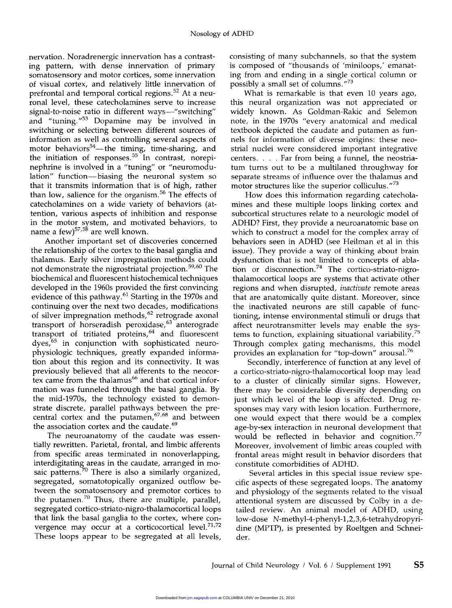nervation. Noradrenergic innervation has a contrasting pattern, with dense innervation of primary somatosensory and motor cortices, some innervation of visual cortex, and relatively little innervation of prefrontal and temporal cortical regions.<sup>52</sup> At a neuronal level, these catecholamines serve to increase signal-to-noise ratio in different ways-"switching" and "tuning." $53$  Dopamine may be involved in switching or selecting between different sources of information as well as controlling several aspects of motor behaviors<sup>54</sup>—the timing, time-sharing, and the initiation of responses.<sup>55</sup> In contrast, norepinephrine is involved in a "tuning" or "neuromodulation" function-biasing the neuronal system so that it transmits information that is of high, rather than low, salience for the organism.<sup>56</sup> The effects of catecholamines on a wide variety of behaviors (attention, various aspects of inhibition and response in the motor system, and motivated behaviors, to name a  $few^{57,58}$  are well known.

Another important set of discoveries concerned the relationship of the cortex to the basal ganglia and thalamus. Early silver impregnation methods could not demonstrate the nigrostriatal projection. 59,60 The biochemical and fluorescent histochemical techniques developed in the 1960s provided the first convincing evidence of this pathway.61 Starting in the 1970s and continuing over the next two decades, modifications of silver impregnation methods,<sup>62</sup> retrograde axonal transport of horseradish peroxidase,<sup>63</sup> anterograde transport of tritiated proteins,<sup>64</sup> and fluorescent dyes,<sup>65</sup> in conjunction with sophisticated neurophysiologic techniques, greatly expanded information about this region and its connectivity. It was previously believed that all afferents to the neocortex came from the thalamus<sup>66</sup> and that cortical information was funneled through the basal ganglia. By the mid-1970s, the technology existed to demonstrate discrete, parallel pathways between the precentral cortex and the putamen,<sup>67,68</sup> and between the association cortex and the caudate.<sup>69</sup>

The neuroanatomy of the caudate was essentially rewritten. Parietal, frontal, and limbic afferents from specific areas terminated in nonoverlapping, interdigitating areas in the caudate, arranged in mosaic patterns.<sup>70</sup> There is also a similarly organized, segregated, somatotopically organized outflow between the somatosensory and premotor cortices to the putamen.<sup>70</sup> Thus, there are multiple, parallel, segregated cortico-striato-nigro-thalamocortical loops that link the basal ganglia to the cortex, where convergence may occur at a corticocortical level.<sup>71,72</sup> These loops appear to be segregated at all levels,

consisting of many subchannels, so that the system is composed of "thousands of 'miniloops,' emanating from and ending in a single cortical column or possibly a small set of columns."73

What is remarkable is that even 10 years ago, this neural organization was not appreciated or widely known. As Goldman-Rakic and Selemon note, in the 1970s "every anatomical and medical textbook depicted the caudate and putamen as funnels for information of diverse origins: these neostrial nuclei were considered important integrative centers.... Far from being a funnel, the neostriatum turns out to be a multilaned throughway for separate streams of influence over the thalamus and motor structures like the superior colliculus. $a^{73}$ 

How does this information regarding catecholamines and these multiple loops linking cortex and subcortical structures relate to a neurologic model of ADHD? First, they provide a neuroanatomic base on which to construct a model for the complex array of behaviors seen in ADHD (see Heilman et al in this issue). They provide a way of thinking about brain dysfunction that is not limited to concepts of ablation or disconnection.<sup>74</sup> The cortico-striato-nigrothalamocortical loops are systems that activate other regions and when disrupted, inactivate remote areas that are anatomically quite distant. Moreover, since the inactivated neurons are still capable of functioning, intense environmental stimuli or drugs that affect neurotransmitter levels may enable the systems to function, explaining situational variability.<sup>75</sup> Through complex gating mechanisms, this model provides an explanation for "top-down" arousal.<sup>76</sup>

Secondly, interference of function at any level of a cortico-striato-nigro-thalamocortical loop may lead to a cluster of clinically similar signs. However, there may be considerable diversity depending on just which level of the loop is affected. Drug re-<br>sponses may vary with lesion location. Furthermore, one would expect that there would be a complex age-by-sex interaction in neuronal development that would be reflected in behavior and cognition.<sup>77</sup> Moreover, involvement of limbic areas coupled with frontal areas might result in behavior disorders that constitute comorbidities of ADHD.

Several articles in this special issue review specific aspects of these segregated loops. The anatomy and physiology of the segments related to the visual attentional system are discussed by Colby in a detailed review. An animal model of ADHD, using low-dose N-methyl-4-phenyl-1,2,3,6-tetrahydropyridine (MPTP), is presented by Roeltgen and Schneider.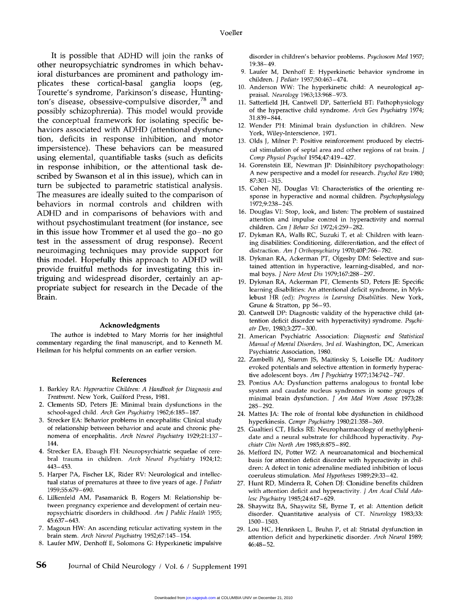It is possible that ADHD will join the ranks of other neuropsychiatric syndromes in which behavioral disturbances are prominent and pathology implicates these cortical-basal ganglia loops (eg, Tourette's syndrome, Parkinson's disease, Huntington's disease, obsessive-compulsive disorder,<sup>78</sup> and possibly schizophrenia). This model would provide the conceptual framework for isolating specific behaviors associated with ADHD (attentional dysfunction, deficits in response inhibition, and motor impersistence). These behaviors can be measured using elemental, quantifiable tasks (such as deficits in response inhibition, or the attentional task described by Swanson et al in this issue), which can in turn be subjected to parametric statistical analysis. The measures are ideally suited to the comparison of behaviors in normal controls and children with ADHD and in comparisons of behaviors with and without psychostimulant treatment (for instance, see in this issue how Trommer et al used the go-no go test in the assessment of drug response). Recent neuroimaging techniques may provide support for this model. Hopefully this approach to ADHD will provide fruitful methods for investigating this intriguing and widespread disorder, certainly an appropriate subject for research in the Decade of the Brain.

#### Acknowledgments

The author is indebted to Mary Morris for her insightful commentary regarding the final manuscript, and to Kenneth M. Heilman for his helpful comments on an earlier version.

### References

- 1. Barkley RA: Hyperactive Children: A Handbook for Diagnosis and Treatment. New York, Guilford Press, 1981.
- 2. Clements SD, Peters JE: Minimal brain dysfunctions in the school-aged child. Arch Gen Psychiatry 1962;6:185-187.
- 3. Strecker EA: Behavior problems in encephalitis: Clinical study of relationship between behavior and acute and chronic phe nomena of encephalitis. Arch Neurol Psychiatry 1929;21:137- 144.
- 4. Strecker EA, Ebaugh FH: Neuropsychiatric sequelae of cerebral trauma in children. Arch Neurol Psychiatry 1924;12: 443-453.
- 5. Harper PA, Fischer LK, Rider RV: Neurological and intellectual status of prematures at three to five years of age. J Pediatr 1959;55:679-690.
- 6. Lillienfeld AM, Pasamanick B, Rogers M: Relationship between pregnancy experience and development of certain neuropsychiatric disorders in childhood. Am J Public Health 1955; 45:637-643.
- 7. Magoun HW: An ascending reticular activating system in the brain stem. Arch Neurol Psychiatry 1952;67:145-154.
- 8. Laufer MW, Denhoff E, Solomons G: Hyperkinetic impulsive

disorder in children's behavior problems. Psychosom Med 1957; 19:38-49.

- 9. Laufer M, Denhoff E: Hyperkinetic behavior syndrome in children. J Pediatr 1957;50:463-474.
- 10. Anderson WW: The hyperkinetic child: A neurological appraisal. Neurology 1963;13:968-973.
- 11. Satterfield JH, Cantwell DP, Satterfield BT: Pathophysiology of the hyperactive child syndrome. Arch Gen Psychiatry 1974; 31:839-844.
- 12. Wender PH: Minimal brain dysfunction in children. New York, Wiley-Interscience, 1971.
- 13. Olds J, Milner P: Positive reinforcement produced by electrical stimulation of septal area and other regions of rat brain. J<br>Comp Physiol Psychol 1954;47:419-427.
- 14. Gorenstein EE, Newman JP: Disinhibitory psychopathology: A new perspective and a model for research. *Psychol Rev* 1980; 87:301-315.
- 15. Cohen NJ, Douglas VI: Characteristics of the orienting response in hyperactive and normal children. Psychophysiology 1972;9:238-245.
- 16. Douglas VI: Stop, look, and listen: The problem of sustained attention and impulse control in hyperactivity and normal children. Can J Behav Sci 1972;4:259-282.
- 17. Dykman RA, Walls RC, Suzuki T, et al: Children with learning disabilities: Conditioning, differentiation, and the effect of distraction. Am J Orthopsychiatry 1970;40P:766-782.
- 18. Dykman RA, Ackerman PT, Olgesby DM: Selective and sustained attention in hyperactive, learning-disabled, and normal boys. J Nerv Ment Dis 1979;167:288-297.
- 19. Dykman RA, Ackerman PT, Clements SD, Peters JE: Specific learning disabilities: An attentional deficit syndrome, in Myklebust HR (ed): Progress in Learning Disabilities. New York, Grune & Stratton, pp 56-93.
- 20. Cantwell DP: Diagnostic validity of the hyperactive child (attention deficit disorder with hyperactivity) syndrome. Psychi atr Dev, 1980;3:277-300.
- 21. American Psychiatric Association: Diagnostic and Statistical Manual of Mental Disorders, 3rd ed. Washington, DC, American Psychiatric Association, 1980.
- 22. Zambelli AJ, Stamm JS, Maitinsky S, Loiselle DL: Auditory evoked potentials and selective attention in formerly hyperactive adolescent boys. Am J Psychiatry 1977;134:742-747.
- 23. Pontius AA: Dysfunction patterns analogous to frontal lobe system and caudate nucleus syndromes in some groups of minimal brain dysfunction. J Am Med Wom Assoc 1973;28: 285-292.
- 24. Mattes JA: The role of frontal lobe dysfunction in childhood hyperkinesis. Compr Psychiatry 1980;21:358-369.
- 25. Gualtieri CT, Hicks RE: Neuropharmacology of methylphenidate and a neural substrate for childhood hyperactivity. Psychiatr Clin North Am 1985;8:875-892.
- 26. Mefford IN, Potter WZ: A neuroanatomical and biochemical basis for attention deficit disorder with hyperactivity in children: A defect in tonic adrenaline mediated inhibition of locus coeruleus stimulation. Med Hypotheses 1989;29:33-42.
- 27. Hunt RD, Minderra R, Cohen DJ: Clonidine benefits children with attention deficit and hyperactivity. J Am Acad Child Adolesc Psychiatry 1985;24:617-629.
- 28. Shaywitz BA, Shaywitz SE, Byrne T, et al: Attention deficit disorder. Quantitative analysis of CT. Neurology 1983;33: 1500-1503.
- 29. Lou HC, Henriksen L, Bruhn P, et al: Striatal dysfunction in attention deficit and hyperkinetic disorder. Arch Neurol 1989; 46:48-52.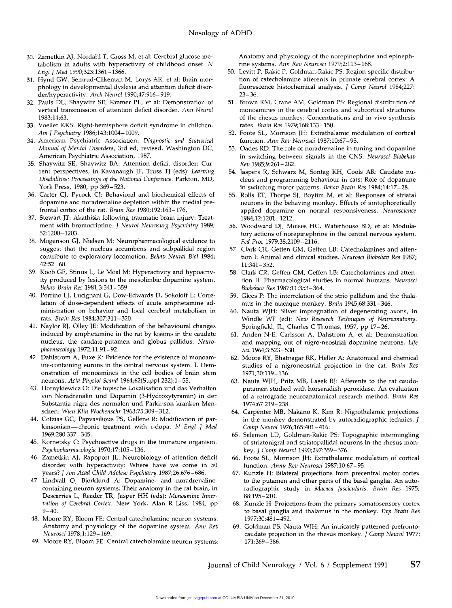- 30. Zametkin AJ, Nordahl T, Gross M, et al: Cerebral glucose metabolism in adults with hyperactivity of childhood onset. N Engl J Med 1990;323:1361-1366.
- 31. Hynd GW, Semrud-Clikeman M, Lorys AR, et al: Brain morphology in developmental dyslexia and attention deficit disorder/hyperactivity. Arch Neurol 1990;47:916-919.
- 32. Pauls DL, Shaywitz SE, Kramer PL, et al: Demonstration of vertical transmission of attention deficit disorder. Ann Neurol 1983;14:63.
- 33. Voeller KKS: Right-hemisphere deficit syndrome in children. Am J Psychiatry 1986;143:1004-1009.
- 34. American Psychiatric Association: Diagnostic and Statistical Manual of Mental Disorders, 3rd ed, revised. Washington DC, American Psychiatric Association, 1987.
- 35. Shaywitz SE, Shaywitz BA: Attention deficit disorder: Current perspectives, in Kavanaugh JF, Truss TJ (eds): Learning Disabilities: Proceedings of the National Conference. Parkton, MD, York Press, 1980, pp 369-523.
- 36. Carter CJ, Pycock CJ: Behavioral and biochemical effects of dopamine and noradrenaline depletion within the medial prefrontal cortex of the rat. Brain Res 1980;192:163-176.
- 37. Stewart JT: Akathisia following traumatic brain injury: Treatment with bromocriptine. J Neurol Neurosurg Psychiatry 1989; 52:1200-1203.
- 38. Mogenson GJ, Nielsen M: Neuropharmacological evidence to suggest that the nucleus accumbens and subpallidal region contribute to exploratory locomotion. Behav Neural Biol 1984; 42:52-60.
- 39. Koob GF, Stinus L, Le Moal M: Hyperactivity and hypoactivity produced by lesions to the mesolimbic dopamine system. Behav Brain Res 1981;3:341-359.
- 40. Porrino LJ, Lucignani G, Dow-Edwards D, Sokoloff L: Correlation of dose-dependent effects of acute amphetamine administration on behavior and local cerebral metabolism in rats. Brain Res 1984;307:311-320.
- 41. Naylor RJ, Olley JE: Modification of the behavioural changes induced by amphetamine in the rat by lesions in the caudate nucleus, the caudate-putamen and globus pallidus. Neuropharmacology 1972;11:91-92.
- 42. Dahlstrom A, Fuxe K: Evidence for the existence of monoamine-containing eurons in the central nervous system. I. Demonstration of monoamines in the cell bodies of brain stem neurons. Acta Physiol Scand 1964;62(Suppl 232):1-55.
- 43. Hornykiewicz O: Die topische Lokalisation und das Verhalten von Noradrenalin und Dopamin (3-Hydroxytyramin) in der Substantia nigra des normalen und Parkinson kranken Menschen. Wien Klin Wochenschr 1963;75:309-312.
- 44. Cotzias GC, Papvasilious PS, Gellene R: Modification of parkinsonism-chronic treatment with L-dopa. N Engl J Med 1969;280:337-345.
- 45. Kornetsky C: Psychoactive drugs in the immature organism. Psychopharmacologia 1970;17:105-136.
- 46. Zametkin AJ, Rapoport JL: Neurobiology of attention deficit disorder with hyperactivity: Where have we come in 50 years? J Am Acad Child Adolesc Psychiatry 1987;26:676-686.
- 47. Lindvall O, Bjorklund A: Dopamine- and noradrenalinecontaining neuron systems: Their anatomy in the rat brain, in Descarries L, Reader TR, Jasper HH (eds): Monoamine Innervation of Cerebral Cortex. New York, Alan R Liss, 1984, pp  $9 - 40.$
- 48. Moore RY, Bloom FE: Central catecholamine neuron systems: Anatomy and physiology of the dopamine system. Ann Rev Neurosci 1978;1:129-169.
- 49. Moore RY, Bloom FE: Central catecholamine neuron systems:

Anatomy and physiology of the norepinephrine and epinephrine systems. Ann Rev Neurosci 1979;2:113-168.

- 50. Levitt P, Rakic P, Goldman-Rakic PS: Region-specific distribution of catecholamine afferents in primate cerebral cortex: A fluorescence histochemical analysis. J Comp Neurol 1984;227: 23-36.
- 51. Brown RM, Crane AM, Goldman PS: Regional distribution of monoamines in the cerebral cortex and subcortical structures of the rhesus monkey: Concentrations and in vivo synthesis rates. Brain Res 1979;168:133-150.
- 52. Foote SL, Morrison JH: Extrathalamic modulation of cortical function. Ann Rev Neurosci 1987;10:67-95.
- 53. Oades RD: The role of noradrenaline in tuning and dopamine in switching between signals in the CNS. Neurosci Biobehav Rev 1985;9:261-282.
- 54. Jaspers R, Schwarz M, Sontag KH, Cools AR: Caudate nucleus and programming behaviour in cats: Role of dopamine in switching motor patterns. Behav Brain Res 1984;14:17-28.
- 55. Rolls ET, Thorpe SJ, Boytim M, et al: Responses of striatal neurons in the behaving monkey. Effects of iontophoretically applied dopamine on normal responsiveness. Neuroscience 1984;12:1201-1212.
- 56. Woodward DJ, Moises HC, Waterhouse BD, et al: Modulatory actions of norepinephrine in the central nervous system. Fed Proc 1979;38:2109-2116.
- 57. Clark CR, Geffen GM, Geffen LB: Catecholamines and attention I: Animal and clinical studies. Neurosci Biobehav Res 1987; 11:341-352.
- 58. Clark CR, Geffen GM, Geffen LB: Catecholamines and attention II. Pharmacological studies in normal humans. Neurosci Biobehav Res 1987;11:353-364.
- 59. Glees P: The interrelation of the strio-pallidum and the thalamus in the macaque monkey. Brain 1945;68:331-346.
- 60. Nauta WJH: Silver impregnation of degenerating axons, in Windle WF (ed): New Research Techniques of Neuroanatomy. Springfield, IL, Charles C Thomas, 1957, pp 17-26.
- 61. Anden N-E, Carlsson A, Dahstrom A, et al: Demonstration and mapping out of nigro-neostrial dopamine neurons. Life Sci 1964;3:523-530.
- 62. Moore RY, Bhatnagar RK, Heller A: Anatomical and chemical studies of a nigroneostrial projection in the cat. Brain Res 1971;30:119-136.
- 63. Nauta WJH, Pritz MB, Lasek RJ: Afferents to the rat caudoputamen studied with horseradish peroxidase. An evaluation of a retrograde neuroanatomical research method. Brain Res 1974;67:219-238.
- 64. Carpenter MB, Nakano K, Kim R: Nigrothalamic projections in the monkey demonstrated by autoradiographic technics. J Comp Neurol 1976;165:401-416.
- 65. Selemon LD, Goldman-Rakic PS: Topographic intermingling of striatonigral and striatopallidal neurons in the rhesus monkey. J Comp Neurol 1990;297:359-376.
- 66. Foote SL, Morrison JH: Extrathalamic modulation of cortical function. Annu Rev Neurosci 1987;10:67-95.
- 67. Kunzle H: Bilateral projections from precentral motor cortex to the putamen and other parts of the basal ganglia. An autoradiographic study in Macaca fascicularis. Brain Res 1975; 88:195-210.
- 68. Kunzle H: Projections from the primary somatosensory cortex to basal ganglia and thalamus in the monkey. Exp Brain Res 1977;30:481-492.
- 69. Goldman PS, Nauta WJH: An intricately patterned prefrontocaudate projection in the rhesus monkey. J Comp Neurol 1977; 171:369-386.